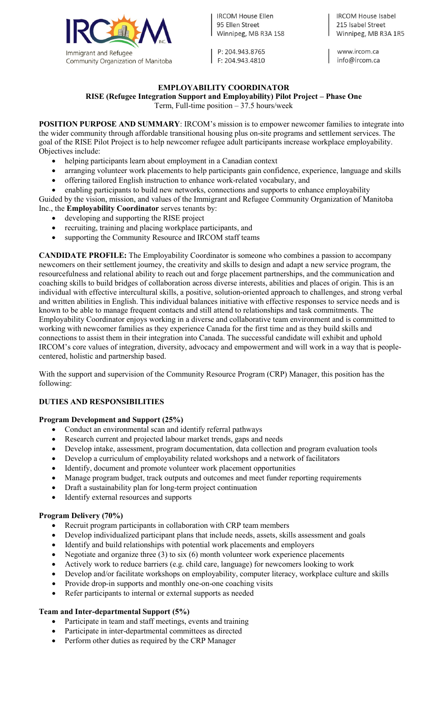

**IRCOM House Ellen** 95 Ellen Street Winnipeg, MB R3A 1S8

P: 204.943.8765 F: 204.943.4810

**IRCOM House Isabel** 215 Isabel Street Winnipeg, MB R3A 1R5

www.ircom.ca info@ircom.ca

# **EMPLOYABILITY COORDINATOR**

**RISE (Refugee Integration Support and Employability) Pilot Project – Phase One**

Term, Full-time position – 37.5 hours/week

**POSITION PURPOSE AND SUMMARY:** IRCOM's mission is to empower newcomer families to integrate into the wider community through affordable transitional housing plus on-site programs and settlement services. The goal of the RISE Pilot Project is to help newcomer refugee adult participants increase workplace employability. Objectives include:

- helping participants learn about employment in a Canadian context
- arranging volunteer work placements to help participants gain confidence, experience, language and skills
- offering tailored English instruction to enhance work-related vocabulary, and
- enabling participants to build new networks, connections and supports to enhance employability

Guided by the vision, mission, and values of the Immigrant and Refugee Community Organization of Manitoba Inc., the **Employability Coordinator** serves tenants by:

- developing and supporting the RISE project
- recruiting, training and placing workplace participants, and
- supporting the Community Resource and IRCOM staff teams

**CANDIDATE PROFILE:** The Employability Coordinator is someone who combines a passion to accompany newcomers on their settlement journey, the creativity and skills to design and adapt a new service program, the resourcefulness and relational ability to reach out and forge placement partnerships, and the communication and coaching skills to build bridges of collaboration across diverse interests, abilities and places of origin. This is an individual with effective intercultural skills, a positive, solution-oriented approach to challenges, and strong verbal and written abilities in English. This individual balances initiative with effective responses to service needs and is known to be able to manage frequent contacts and still attend to relationships and task commitments. The Employability Coordinator enjoys working in a diverse and collaborative team environment and is committed to working with newcomer families as they experience Canada for the first time and as they build skills and connections to assist them in their integration into Canada. The successful candidate will exhibit and uphold IRCOM's core values of integration, diversity, advocacy and empowerment and will work in a way that is peoplecentered, holistic and partnership based.

With the support and supervision of the Community Resource Program (CRP) Manager, this position has the following:

#### **DUTIES AND RESPONSIBILITIES**

#### **Program Development and Support (25%)**

- Conduct an environmental scan and identify referral pathways
- Research current and projected labour market trends, gaps and needs
- Develop intake, assessment, program documentation, data collection and program evaluation tools
- Develop a curriculum of employability related workshops and a network of facilitators
- Identify, document and promote volunteer work placement opportunities
- Manage program budget, track outputs and outcomes and meet funder reporting requirements
- Draft a sustainability plan for long-term project continuation
- Identify external resources and supports

#### **Program Delivery (70%)**

- Recruit program participants in collaboration with CRP team members
- Develop individualized participant plans that include needs, assets, skills assessment and goals
- Identify and build relationships with potential work placements and employers
- Negotiate and organize three  $(3)$  to six  $(6)$  month volunteer work experience placements
- Actively work to reduce barriers (e.g. child care, language) for newcomers looking to work
- Develop and/or facilitate workshops on employability, computer literacy, workplace culture and skills
- Provide drop-in supports and monthly one-on-one coaching visits
- Refer participants to internal or external supports as needed

#### **Team and Inter-departmental Support (5%)**

- Participate in team and staff meetings, events and training
- Participate in inter-departmental committees as directed
- Perform other duties as required by the CRP Manager